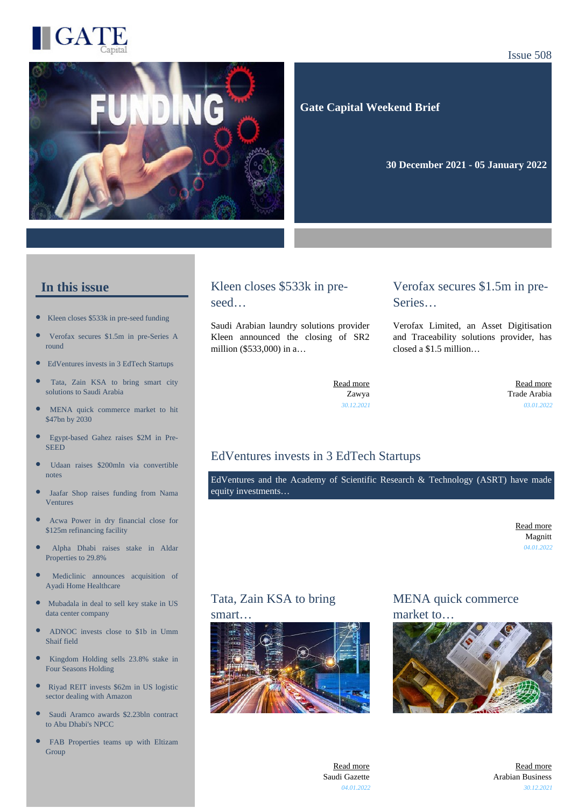

#### Issue 508



 **Gate Capital Weekend Brief**

**30 December 2021 - 05 January 2022** 

#### **In this issue**

- [Kleen closes \\$533k in pre-seed funding](https://gatecapital.net/back_office/newsletters/tracking/5560/650)
- [Verofax secures \\$1.5m in pre-Series A](https://gatecapital.net/back_office/newsletters/tracking/5550/650) [round](https://gatecapital.net/back_office/newsletters/tracking/5550/650)
- $\bullet$ [EdVentures invests in 3 EdTech Startups](https://gatecapital.net/back_office/newsletters/tracking/5555/650)
- [Tata, Zain KSA to bring smart city](https://gatecapital.net/back_office/newsletters/tracking/5563/650) [solutions to Saudi Arabia](https://gatecapital.net/back_office/newsletters/tracking/5563/650)
- [MENA quick commerce market to hit](https://gatecapital.net/back_office/newsletters/tracking/5562/650) [\\$47bn by 2030](https://gatecapital.net/back_office/newsletters/tracking/5562/650)
- [Egypt-based Gahez raises \\$2M in Pre-](https://gatecapital.net/back_office/newsletters/tracking/5556/650)**[SEED](https://gatecapital.net/back_office/newsletters/tracking/5556/650)**
- $\bullet$ [Udaan raises \\$200mln via convertible](https://gatecapital.net/back_office/newsletters/tracking/5567/650) [notes](https://gatecapital.net/back_office/newsletters/tracking/5567/650)
- $\bullet$ [Jaafar Shop raises funding from Nama](https://gatecapital.net/back_office/newsletters/tracking/5566/650) [Ventures](https://gatecapital.net/back_office/newsletters/tracking/5566/650)
- [Acwa Power in dry financial close for](https://gatecapital.net/back_office/newsletters/tracking/5549/650) [\\$125m refinancing facility](https://gatecapital.net/back_office/newsletters/tracking/5549/650)
- [Alpha Dhabi raises stake in Aldar](https://gatecapital.net/back_office/newsletters/tracking/5551/650) [Properties to 29.8%](https://gatecapital.net/back_office/newsletters/tracking/5551/650)
- [Mediclinic announces acquisition of](https://gatecapital.net/back_office/newsletters/tracking/5552/650) [Ayadi Home Healthcare](https://gatecapital.net/back_office/newsletters/tracking/5552/650)
- $\bullet$ [Mubadala in deal to sell key stake in US](https://gatecapital.net/back_office/newsletters/tracking/5548/650) [data center company](https://gatecapital.net/back_office/newsletters/tracking/5548/650)
- [ADNOC invests close to \\$1b in Umm](https://gatecapital.net/back_office/newsletters/tracking/5565/650) [Shaif field](https://gatecapital.net/back_office/newsletters/tracking/5565/650)
- $\bullet$ [Kingdom Holding sells 23.8% stake in](https://gatecapital.net/back_office/newsletters/tracking/5559/650) [Four Seasons Holding](https://gatecapital.net/back_office/newsletters/tracking/5559/650)
- $\bullet$ [Riyad REIT invests \\$62m in US logistic](https://gatecapital.net/back_office/newsletters/tracking/5553/650) [sector dealing with Amazon](https://gatecapital.net/back_office/newsletters/tracking/5553/650)
- $\bullet$ [Saudi Aramco awards \\$2.23bln contract](https://gatecapital.net/back_office/newsletters/tracking/5554/650) [to Abu Dhabi's NPCC](https://gatecapital.net/back_office/newsletters/tracking/5554/650)
- [FAB Properties teams up with Eltizam](https://gatecapital.net/back_office/newsletters/tracking/5557/650) [Group](https://gatecapital.net/back_office/newsletters/tracking/5557/650)

## Kleen closes \$533k in preseed…

Saudi Arabian laundry solutions provider Kleen announced the closing of SR2 million (\$533,000) in a…

### Verofax secures \$1.5m in pre-Series…

Verofax Limited, an Asset Digitisation and Traceability solutions provider, has closed a \$1.5 million…

[Read more](https://gatecapital.net/back_office/newsletters/tracking/5560/650) Zawya *30.12.2021*

[Read more](https://gatecapital.net/back_office/newsletters/tracking/5550/650) Trade Arabia *03.01.2022*

## EdVentures invests in 3 EdTech Startups

EdVentures and the Academy of Scientific Research & Technology (ASRT) have made equity investments…

> [Read more](https://gatecapital.net/back_office/newsletters/tracking/5555/650) Magnitt *04.01.2022*

# Tata, Zain KSA to bring

#### smart.



## MENA quick commerce market to…



[Read more](https://gatecapital.net/back_office/newsletters/tracking/5563/650) Saudi Gazette *04.01.2022*

[Read more](https://gatecapital.net/back_office/newsletters/tracking/5562/650) Arabian Business *30.12.2021*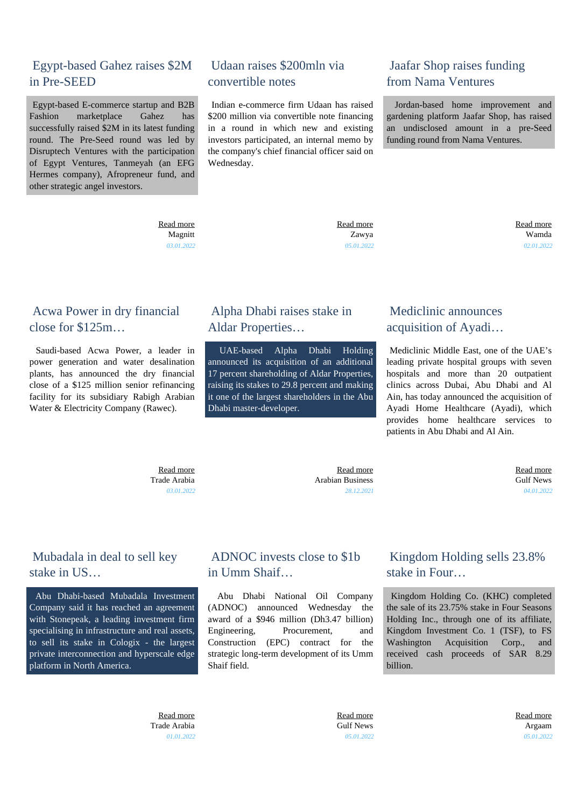## Egypt-based Gahez raises \$2M in Pre-SEED

 Egypt-based E-commerce startup and B2B Fashion marketplace Gahez has successfully raised \$2M in its latest funding round. The Pre-Seed round was led by Disruptech Ventures with the participation of Egypt Ventures, Tanmeyah (an EFG Hermes company), Afropreneur fund, and other strategic angel investors.

## Udaan raises \$200mln via convertible notes

 Indian e-commerce firm Udaan has raised \$200 million via convertible note financing in a round in which new and existing investors participated, an internal memo by the company's chief financial officer said on Wednesday.

## Jaafar Shop raises funding from Nama Ventures

 Jordan-based home improvement and gardening platform Jaafar Shop, has raised an undisclosed amount in a pre-Seed funding round from Nama Ventures.

 [Read more](https://gatecapital.net/back_office/newsletters/tracking/5556/650) Magnitt *03.01.2022*  [Read more](https://gatecapital.net/back_office/newsletters/tracking/5567/650) Zawya *05.01.2022*  [Read more](https://gatecapital.net/back_office/newsletters/tracking/5566/650) Wamda *02.01.2022*

## Acwa Power in dry financial close for \$125m…

 Saudi-based Acwa Power, a leader in power generation and water desalination plants, has announced the dry financial close of a \$125 million senior refinancing facility for its subsidiary Rabigh Arabian Water & Electricity Company (Rawec).

## Alpha Dhabi raises stake in Aldar Properties…

 UAE-based Alpha Dhabi Holding announced its acquisition of an additional 17 percent shareholding of Aldar Properties, raising its stakes to 29.8 percent and making it one of the largest shareholders in the Abu Dhabi master-developer.

## Mediclinic announces acquisition of Ayadi…

 Mediclinic Middle East, one of the UAE's leading private hospital groups with seven hospitals and more than 20 outpatient clinics across Dubai, Abu Dhabi and Al Ain, has today announced the acquisition of Ayadi Home Healthcare (Ayadi), which provides home healthcare services to patients in Abu Dhabi and Al Ain.

 [Read more](https://gatecapital.net/back_office/newsletters/tracking/5549/650) Trade Arabia *03.01.2022*

 [Read more](https://gatecapital.net/back_office/newsletters/tracking/5551/650) Arabian Business *28.12.2021*  [Read more](https://gatecapital.net/back_office/newsletters/tracking/5552/650) Gulf News *04.01.2022*

## Mubadala in deal to sell key stake in US…

 Abu Dhabi-based Mubadala Investment Company said it has reached an agreement with Stonepeak, a leading investment firm specialising in infrastructure and real assets, to sell its stake in Cologix - the largest private interconnection and hyperscale edge platform in North America.

## ADNOC invests close to \$1b in Umm Shaif…

 Abu Dhabi National Oil Company (ADNOC) announced Wednesday the award of a \$946 million (Dh3.47 billion) Engineering, Procurement, and Construction (EPC) contract for the strategic long-term development of its Umm Shaif field.

## Kingdom Holding sells 23.8% stake in Four…

 Kingdom Holding Co. (KHC) completed the sale of its 23.75% stake in Four Seasons Holding Inc., through one of its affiliate, Kingdom Investment Co. 1 (TSF), to FS Washington Acquisition Corp., and received cash proceeds of SAR 8.29 billion.

 [Read more](https://gatecapital.net/back_office/newsletters/tracking/5548/650) Trade Arabia *01.01.2022*  [Read more](https://gatecapital.net/back_office/newsletters/tracking/5565/650) Gulf News *05.01.2022*  [Read more](https://gatecapital.net/back_office/newsletters/tracking/5559/650) Argaam *05.01.2022*